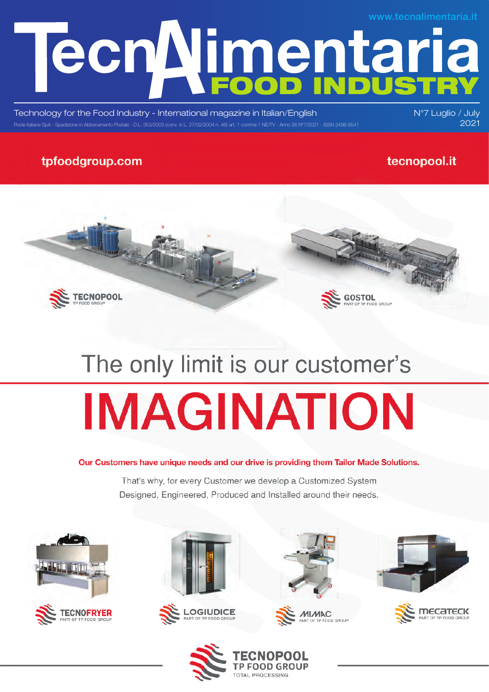# **Ecn Nimentaria** www.tecnalimentaria.it

Technology for the Food Industry - International magazine in Italian/English Poste Italiane SpA - Spedizione in Abbonamento Postale - D.L. 353/2003 (conv. in L. 27/02/2004 n. 46) art. 1 comma 1 NE/TV - Anno 26 N°7/2021 - ISSN 2498-9541 2004 1 2004 2021

### tpfoodgroup.com

### tecnopool.it

N°7 Luglio / July



# The only limit is our customer's **IMAGINATION**

#### Our Customers have unique needs and our drive is providing them Tailor Made Solutions.

That's why, for every Customer we develop a Customized System Designed, Engineered, Produced and Installed around their needs.